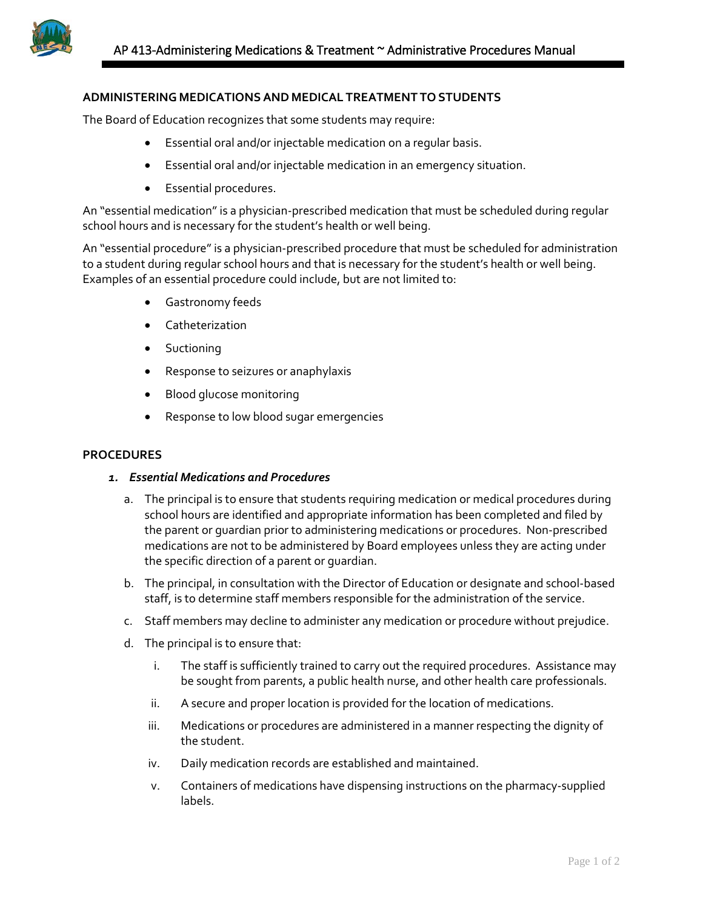## **ADMINISTERING MEDICATIONSAND MEDICAL TREATMENT TO STUDENTS**

The Board of Education recognizes that some students may require:

- Essential oral and/or injectable medication on a regular basis.
- Essential oral and/or injectable medication in an emergency situation.
- Essential procedures.

An "essential medication" is a physician-prescribed medication that must be scheduled during regular school hours and is necessary for the student's health or well being.

An "essential procedure" is a physician-prescribed procedure that must be scheduled for administration to a student during regular school hours and that is necessary for the student's health or well being. Examples of an essential procedure could include, but are not limited to:

- Gastronomy feeds
- Catheterization
- Suctioning
- Response to seizures or anaphylaxis
- Blood glucose monitoring
- Response to low blood sugar emergencies

## **PROCEDURES**

## *1. Essential Medications and Procedures*

- a. The principal is to ensure that students requiring medication or medical procedures during school hours are identified and appropriate information has been completed and filed by the parent or guardian prior to administering medications or procedures. Non-prescribed medications are not to be administered by Board employees unless they are acting under the specific direction of a parent or guardian.
- b. The principal, in consultation with the Director of Education or designate and school-based staff, is to determine staff members responsible for the administration of the service.
- c. Staff members may decline to administer any medication or procedure without prejudice.
- d. The principal is to ensure that:
	- i. The staff is sufficiently trained to carry out the required procedures. Assistance may be sought from parents, a public health nurse, and other health care professionals.
	- ii. A secure and proper location is provided for the location of medications.
	- iii. Medications or procedures are administered in a manner respecting the dignity of the student.
	- iv. Daily medication records are established and maintained.
	- v. Containers of medications have dispensing instructions on the pharmacy-supplied labels.